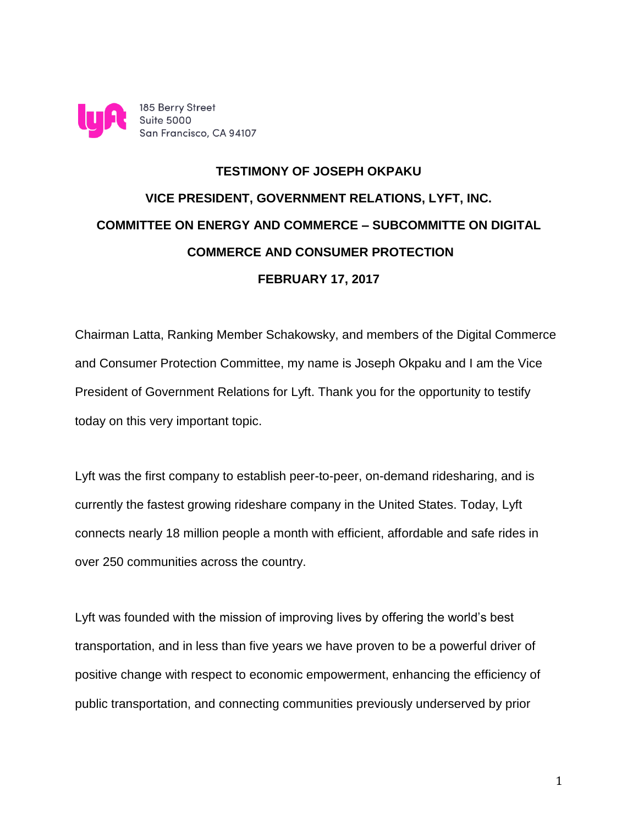

## **TESTIMONY OF JOSEPH OKPAKU VICE PRESIDENT, GOVERNMENT RELATIONS, LYFT, INC. COMMITTEE ON ENERGY AND COMMERCE – SUBCOMMITTE ON DIGITAL COMMERCE AND CONSUMER PROTECTION FEBRUARY 17, 2017**

Chairman Latta, Ranking Member Schakowsky, and members of the Digital Commerce and Consumer Protection Committee, my name is Joseph Okpaku and I am the Vice President of Government Relations for Lyft. Thank you for the opportunity to testify today on this very important topic.

Lyft was the first company to establish peer-to-peer, on-demand ridesharing, and is currently the fastest growing rideshare company in the United States. Today, Lyft connects nearly 18 million people a month with efficient, affordable and safe rides in over 250 communities across the country.

Lyft was founded with the mission of improving lives by offering the world's best transportation, and in less than five years we have proven to be a powerful driver of positive change with respect to economic empowerment, enhancing the efficiency of public transportation, and connecting communities previously underserved by prior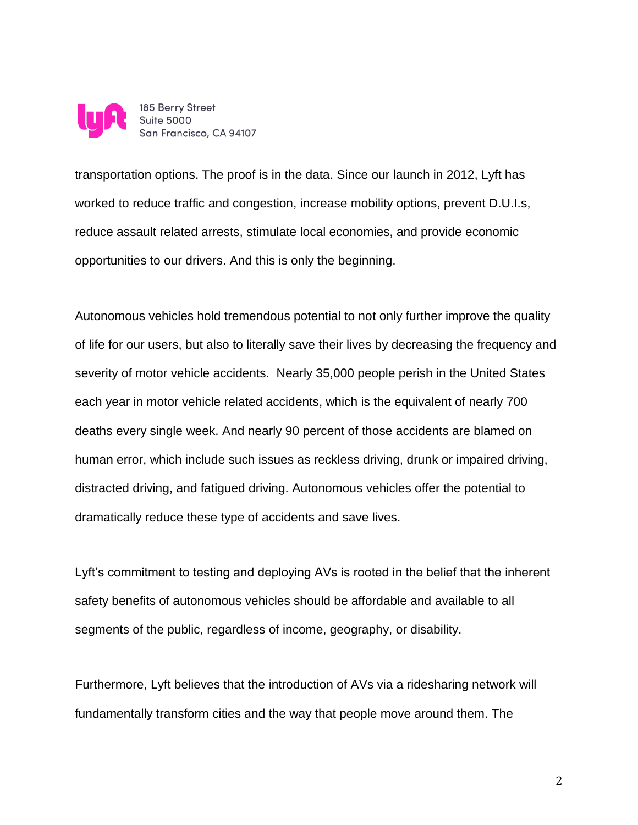

transportation options. The proof is in the data. Since our launch in 2012, Lyft has worked to reduce traffic and congestion, increase mobility options, prevent D.U.I.s, reduce assault related arrests, stimulate local economies, and provide economic opportunities to our drivers. And this is only the beginning.

Autonomous vehicles hold tremendous potential to not only further improve the quality of life for our users, but also to literally save their lives by decreasing the frequency and severity of motor vehicle accidents. Nearly 35,000 people perish in the United States each year in motor vehicle related accidents, which is the equivalent of nearly 700 deaths every single week. And nearly 90 percent of those accidents are blamed on human error, which include such issues as reckless driving, drunk or impaired driving, distracted driving, and fatigued driving. Autonomous vehicles offer the potential to dramatically reduce these type of accidents and save lives.

Lyft's commitment to testing and deploying AVs is rooted in the belief that the inherent safety benefits of autonomous vehicles should be affordable and available to all segments of the public, regardless of income, geography, or disability.

Furthermore, Lyft believes that the introduction of AVs via a ridesharing network will fundamentally transform cities and the way that people move around them. The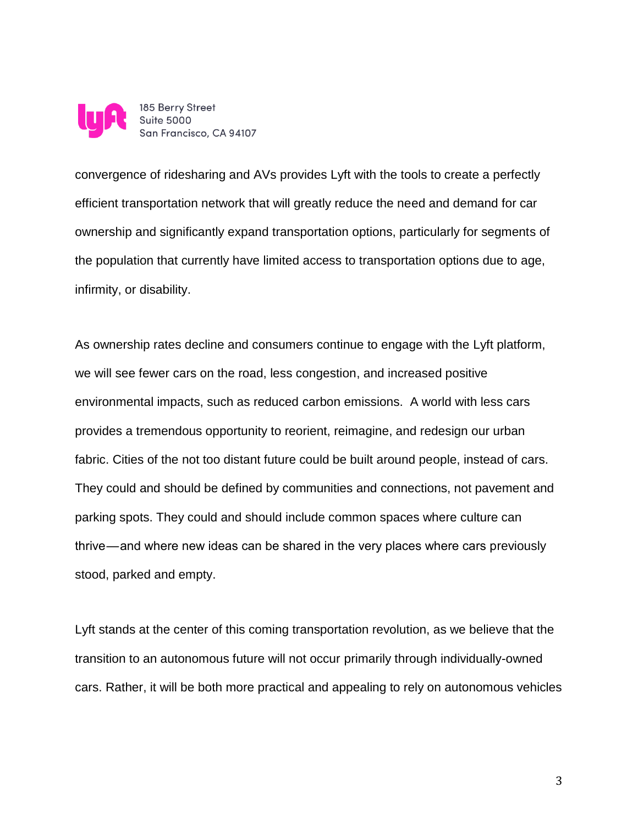

convergence of ridesharing and AVs provides Lyft with the tools to create a perfectly efficient transportation network that will greatly reduce the need and demand for car ownership and significantly expand transportation options, particularly for segments of the population that currently have limited access to transportation options due to age, infirmity, or disability.

As ownership rates decline and consumers continue to engage with the Lyft platform, we will see fewer cars on the road, less congestion, and increased positive environmental impacts, such as reduced carbon emissions. A world with less cars provides a tremendous opportunity to reorient, reimagine, and redesign our urban fabric. Cities of the not too distant future could be built around people, instead of cars. They could and should be defined by communities and connections, not pavement and parking spots. They could and should include common spaces where culture can thrive — and where new ideas can be shared in the very places where cars previously stood, parked and empty.

Lyft stands at the center of this coming transportation revolution, as we believe that the transition to an autonomous future will not occur primarily through individually-owned cars. Rather, it will be both more practical and appealing to rely on autonomous vehicles

3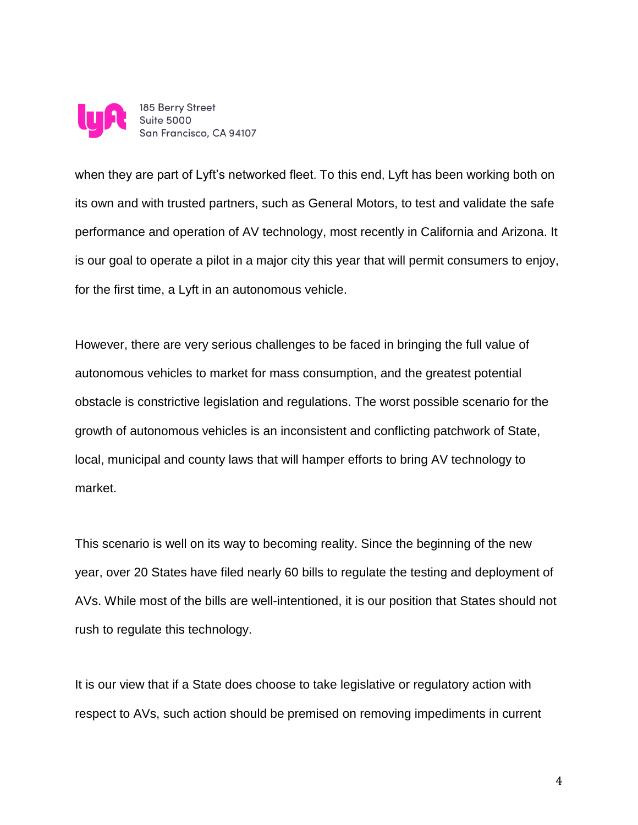

when they are part of Lyft's networked fleet. To this end, Lyft has been working both on its own and with trusted partners, such as General Motors, to test and validate the safe performance and operation of AV technology, most recently in California and Arizona. It is our goal to operate a pilot in a major city this year that will permit consumers to enjoy, for the first time, a Lyft in an autonomous vehicle.

However, there are very serious challenges to be faced in bringing the full value of autonomous vehicles to market for mass consumption, and the greatest potential obstacle is constrictive legislation and regulations. The worst possible scenario for the growth of autonomous vehicles is an inconsistent and conflicting patchwork of State, local, municipal and county laws that will hamper efforts to bring AV technology to market.

This scenario is well on its way to becoming reality. Since the beginning of the new year, over 20 States have filed nearly 60 bills to regulate the testing and deployment of AVs. While most of the bills are well-intentioned, it is our position that States should not rush to regulate this technology.

It is our view that if a State does choose to take legislative or regulatory action with respect to AVs, such action should be premised on removing impediments in current

4